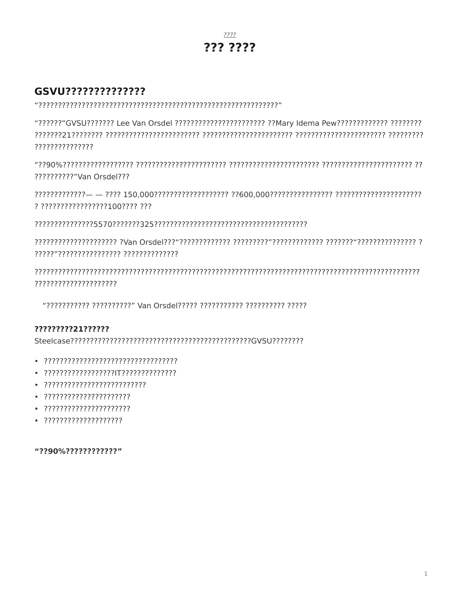## $7777$ ??? ????

# GSVU??????????????

"?????????????????????? Lee Van Orsdel ?????????????????????????????!?!dema Pew????????????????????? ???????????????

???????????"Van Orsdel???

? ?????????????????100???? ???

?????????????????????

#### ?????????21??????

- 
- 
- 
- 
- 
- ?????????????????????

"??90%?????????????"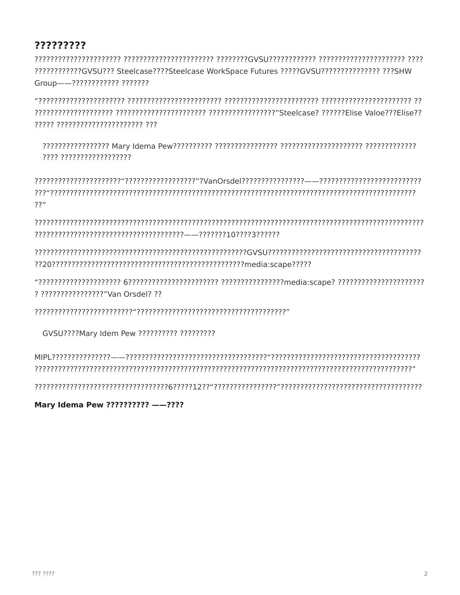# ?????????

?????????????GVSU??? Steelcase????Steelcase WorkSpace Futures ?????GVSU?????????????? ???SHW Group--7??????????? ???????

????? ?????????????????????? ???

???? ??????????????????

 $72"$ 

? ??????????????????"Van Orsdel? ??

GVSU????Mary Idem Pew ?????????? ??????????

Mary Idema Pew ?????????? --????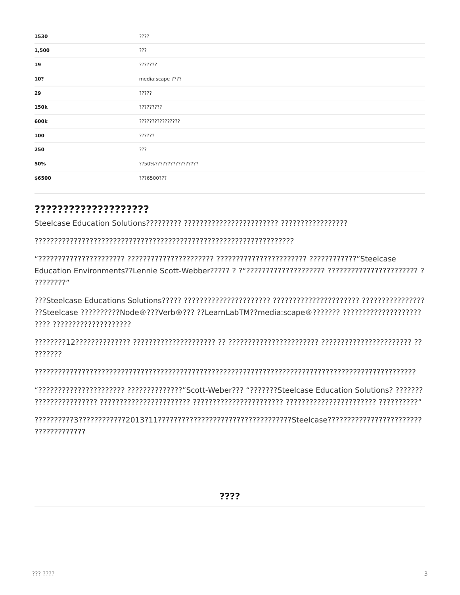| 1530   | ????                    |
|--------|-------------------------|
| 1,500  | ???                     |
| 19     | ???????                 |
| 10?    | media:scape ????        |
| 29     | ?????                   |
| 150k   | ?????????               |
| 600k   | ????????????????        |
| 100    | ??????                  |
| 250    | ???                     |
| 50%    | ??50%?????????????????? |
| \$6500 | ???6500???              |

## ????????????????????

????????"

??Steelcase ??????????Node®???Verb®??? ??LearnLabTM??media:scape®??????? ??????????????????????????? ???? ????????????????????

???????

"דרך דרך דרך דרך להין היו בין דרך דרך בין דרך להין הין בין דרך להין דרך להין דרך להין בין דרך להין הין דרך להי

?????????????

????